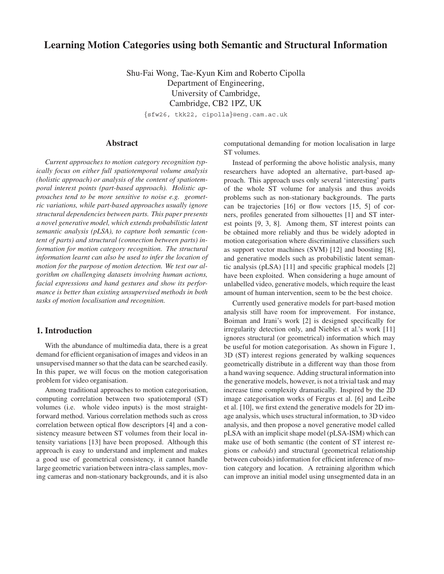# **Learning Motion Categories using both Semantic and Structural Information**

Shu-Fai Wong, Tae-Kyun Kim and Roberto Cipolla Department of Engineering, University of Cambridge, Cambridge, CB2 1PZ, UK *{*sfw26, tkk22, cipolla*}*@eng.cam.ac.uk

# **Abstract**

*Current approaches to motion category recognition typically focus on either full spatiotemporal volume analysis (holistic approach) or analysis of the content of spatiotemporal interest points (part-based approach). Holistic approaches tend to be more sensitive to noise e.g. geometric variations, while part-based approaches usually ignore structural dependencies between parts. This paper presents a novel generative model, which extends probabilistic latent semantic analysis (pLSA), to capture both semantic (content of parts) and structural (connection between parts) information for motion category recognition. The structural information learnt can also be used to infer the location of motion for the purpose of motion detection. We test our algorithm on challenging datasets involving human actions, facial expressions and hand gestures and show its performance is better than existing unsupervised methods in both tasks of motion localisation and recognition.*

## **1. Introduction**

With the abundance of multimedia data, there is a great demand for efficient organisation of images and videos in an unsupervised manner so that the data can be searched easily. In this paper, we will focus on the motion categorisation problem for video organisation.

Among traditional approaches to motion categorisation, computing correlation between two spatiotemporal (ST) volumes (i.e. whole video inputs) is the most straightforward method. Various correlation methods such as cross correlation between optical flow descriptors [4] and a consistency measure between ST volumes from their local intensity variations [13] have been proposed. Although this approach is easy to understand and implement and makes a good use of geometrical consistency, it cannot handle large geometric variation between intra-class samples, moving cameras and non-stationary backgrounds, and it is also

computational demanding for motion localisation in large ST volumes.

Instead of performing the above holistic analysis, many researchers have adopted an alternative, part-based approach. This approach uses only several 'interesting' parts of the whole ST volume for analysis and thus avoids problems such as non-stationary backgrounds. The parts can be trajectories [16] or flow vectors [15, 5] of corners, profiles generated from silhouettes [1] and ST interest points [9, 3, 8]. Among them, ST interest points can be obtained more reliably and thus be widely adopted in motion categorisation where discriminative classifiers such as support vector machines (SVM) [12] and boosting [8], and generative models such as probabilistic latent semantic analysis (pLSA) [11] and specific graphical models [2] have been exploited. When considering a huge amount of unlabelled video, generative models, which require the least amount of human intervention, seem to be the best choice.

Currently used generative models for part-based motion analysis still have room for improvement. For instance, Boiman and Irani's work [2] is designed specifically for irregularity detection only, and Niebles et al.'s work [11] ignores structural (or geometrical) information which may be useful for motion categorisation. As shown in Figure 1, 3D (ST) interest regions generated by walking sequences geometrically distribute in a different way than those from a hand waving sequence. Adding structural information into the generative models, however, is not a trivial task and may increase time complexity dramatically. Inspired by the 2D image categorisation works of Fergus et al. [6] and Leibe et al. [10], we first extend the generative models for 2D image analysis, which uses structural information, to 3D video analysis, and then propose a novel generative model called pLSA with an implicit shape model (pLSA-ISM) which can make use of both semantic (the content of ST interest regions or *cuboids*) and structural (geometrical relationship between cuboids) information for efficient inference of motion category and location. A retraining algorithm which can improve an initial model using unsegmented data in an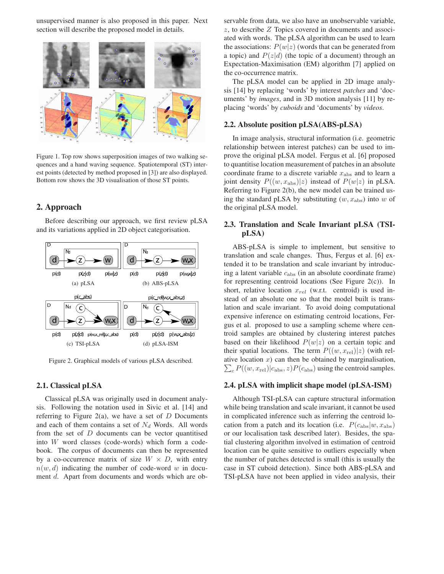unsupervised manner is also proposed in this paper. Next section will describe the proposed model in details.



Figure 1. Top row shows superposition images of two walking sequences and a hand waving sequence. Spatiotemporal (ST) interest points (detected by method proposed in [3]) are also displayed. Bottom row shows the 3D visualisation of those ST points.

# **2. Approach**

Before describing our approach, we first review pLSA and its variations applied in 2D object categorisation.



Figure 2. Graphical models of various pLSA described.

### **2.1. Classical pLSA**

Classical pLSA was originally used in document analysis. Following the notation used in Sivic et al. [14] and referring to Figure 2(a), we have a set of *D* Documents and each of them contains a set of *N<sup>d</sup>* Words. All words from the set of *D* documents can be vector quantitised into *W* word classes (code-words) which form a codebook. The corpus of documents can then be represented by a co-occurrence matrix of size  $W \times D$ , with entry  $n(w, d)$  indicating the number of code-word w in document *d*. Apart from documents and words which are observable from data, we also have an unobservable variable, *z*, to describe *Z* Topics covered in documents and associated with words. The pLSA algorithm can be used to learn the associations:  $P(w|z)$  (words that can be generated from a topic) and  $P(z|d)$  (the topic of a document) through an Expectation-Maximisation (EM) algorithm [7] applied on the co-occurrence matrix.

The pLSA model can be applied in 2D image analysis [14] by replacing 'words' by interest *patches* and 'documents' by *images*, and in 3D motion analysis [11] by replacing 'words' by *cuboids* and 'documents' by *videos*.

#### **2.2. Absolute position pLSA(ABS-pLSA)**

In image analysis, structural information (i.e. geometric relationship between interest patches) can be used to improve the original pLSA model. Fergus et al. [6] proposed to quantitise location measurement of patches in an absolute coordinate frame to a discrete variable  $x_{\text{abs}}$  and to learn a joint density  $P((w, x_{\text{abs}})|z)$  instead of  $P(w|z)$  in pLSA. Referring to Figure 2(b), the new model can be trained using the standard pLSA by substituting (*w, x*abs) into *w* of the original pLSA model.

### **2.3. Translation and Scale Invariant pLSA (TSIpLSA)**

ABS-pLSA is simple to implement, but sensitive to translation and scale changes. Thus, Fergus et al. [6] extended it to be translation and scale invariant by introducing a latent variable *c*abs (in an absolute coordinate frame) for representing centroid locations (See Figure 2(c)). In short, relative location *xrel* (w.r.t. centroid) is used instead of an absolute one so that the model built is translation and scale invariant. To avoid doing computational expensive inference on estimating centroid locations, Fergus et al. proposed to use a sampling scheme where centroid samples are obtained by clustering interest patches based on their likelihood  $P(w|z)$  on a certain topic and their spatial locations. The term  $P((w, x_{\text{rel}})|z)$  (with relative location  $x$ ) can then be obtained by marginalisation,  $\sum_{c} P((w, x_{\text{rel}})|c_{\text{abs}}, z)P(c_{\text{abs}})$  using the centroid samples.

### **2.4. pLSA with implicit shape model (pLSA-ISM)**

Although TSI-pLSA can capture structural information while being translation and scale invariant, it cannot be used in complicated inference such as inferring the centroid location from a patch and its location (i.e.  $P(c_{\text{abs}}|w, x_{\text{abs}})$ ) or our localisation task described later). Besides, the spatial clustering algorithm involved in estimation of centroid location can be quite sensitive to outliers especially when the number of patches detected is small (this is usually the case in ST cuboid detection). Since both ABS-pLSA and TSI-pLSA have not been applied in video analysis, their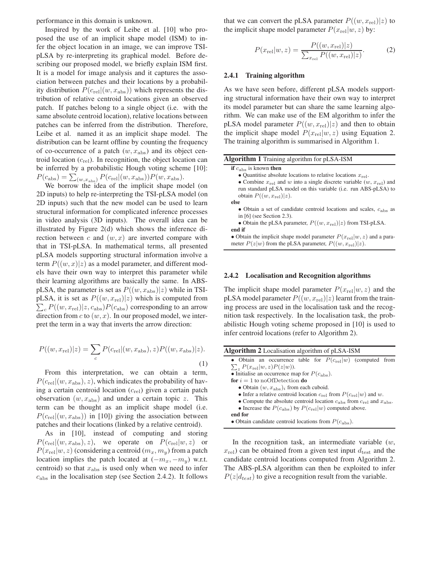performance in this domain is unknown.

Inspired by the work of Leibe et al. [10] who proposed the use of an implicit shape model (ISM) to infer the object location in an image, we can improve TSIpLSA by re-interpreting its graphical model. Before describing our proposed model, we briefly explain ISM first. It is a model for image analysis and it captures the association between patches and their locations by a probability distribution  $P(c_{\text{rel}}|(w, x_{\text{abs}}))$  which represents the distribution of relative centroid locations given an observed patch. If patches belong to a single object (i.e. with the same absolute centroid location), relative locations between patches can be inferred from the distribution. Therefore, Leibe et al. named it as an implicit shape model. The distribution can be learnt offline by counting the frequency of co-occurrence of a patch  $(w, x_{\text{abs}})$  and its object centroid location (*c*rel). In recognition, the object location can be inferred by a probabilistic Hough voting scheme [10]:  $P(c_{\text{abs}}) = \sum_{(w,x_{\text{abs}})} P(c_{\text{rel}}|(w,x_{\text{abs}})) P(w,x_{\text{abs}}).$ 

We borrow the idea of the implicit shape model (on 2D inputs) to help re-interpreting the TSI-pLSA model (on 2D inputs) such that the new model can be used to learn structural information for complicated inference processes in video analysis (3D inputs). The overall idea can be illustrated by Figure 2(d) which shows the inference direction between *c* and (*w, x*) are inverted compare with that in TSI-pLSA. In mathematical terms, all presented pLSA models supporting structural information involve a term  $P((w, x)|z)$  as a model parameter, and different models have their own way to interpret this parameter while their learning algorithms are basically the same. In ABSpLSA, the parameter is set as  $P((w, x_{\text{abs}})|z)$  while in TSIpLSA, it is set as  $P((w, x_{rel})|z)$  which is computed from  $\sum_{c} P((w, x_{\text{rel}})|z, c_{\text{abs}}) P(c_{\text{abs}})$  corresponding to an arrow direction from  $c$  to  $(w, x)$ . In our proposed model, we interpret the term in a way that inverts the arrow direction:

$$
P((w, x_{\text{rel}})|z) = \sum_{c} P(c_{\text{rel}}|(w, x_{\text{abs}}), z)P((w, x_{\text{abs}})|z).
$$
\n(1)

From this interpretation, we can obtain a term,  $P(c_{\text{rel}}|(w, x_{\text{abs}}), z)$ , which indicates the probability of having a certain centroid location (*c*rel) given a certain patch observation (*w, x*abs) and under a certain topic *z*. This term can be thought as an implicit shape model (i.e.  $P(c_{\text{rel}}|(w, x_{\text{abs}}))$  in [10]) giving the association between patches and their locations (linked by a relative centroid).

As in [10], instead of computing and storing  $P(c_{\text{rel}}|(w, x_{\text{abs}}), z)$ , we operate on  $P(c_{\text{rel}}|w, z)$  or  $P(x_{\text{rel}}|w, z)$  (considering a centroid  $(m_x, m_y)$  from a patch location implies the patch located at  $(-m_x, -m_y)$  w.r.t. centroid) so that  $x_{\text{abs}}$  is used only when we need to infer *c*abs in the localisation step (see Section 2.4.2). It follows

that we can convert the pLSA parameter  $P((w, x_{\text{rel}})|z)$  to the implicit shape model parameter  $P(x_{\text{rel}}|w, z)$  by:

$$
P(x_{\text{rel}}|w, z) = \frac{P((w, x_{\text{rel}})|z)}{\sum_{x_{\text{rel}}} P((w, x_{\text{rel}})|z)}.
$$
 (2)

#### **2.4.1 Training algorithm**

As we have seen before, different pLSA models supporting structural information have their own way to interpret its model parameter but can share the same learning algorithm. We can make use of the EM algorithm to infer the pLSA model parameter  $P((w, x_{\text{rel}})|z)$  and then to obtain the implicit shape model  $P(x_{rel}|w, z)$  using Equation 2. The training algorithm is summarised in Algorithm 1.

| Algorithm 1 Training algorithm for pLSA-ISM                                                                                                       |
|---------------------------------------------------------------------------------------------------------------------------------------------------|
| <b>if</b> $c_{\text{abs}}$ is known <b>then</b>                                                                                                   |
| • Quantitise absolute locations to relative locations $x_{rel}$ .                                                                                 |
| • Combine $x_{\text{rel}}$ and w into a single discrete variable $(w, x_{\text{rel}})$ and                                                        |
| run standard pLSA model on this variable (i.e. run ABS-pLSA) to                                                                                   |
| obtain $P((w, x_{\text{rel}}) z)$ .                                                                                                               |
| else                                                                                                                                              |
| • Obtain a set of candidate centroid locations and scales, $c_{\rm abs}$ as                                                                       |
| in $[6]$ (see Section 2.3).                                                                                                                       |
| • Obtain the pLSA parameter, $P((w, x_{\text{rel}}) z)$ from TSI-pLSA.                                                                            |
| end if                                                                                                                                            |
| • Obtain the implicit shape model parameter $P(x_{\text{rel}} w, z)$ and a para-<br>meter $P(z w)$ from the pLSA parameter, $P((w, x_{rel}) z)$ . |

### **2.4.2 Localisation and Recognition algorithms**

The implicit shape model parameter  $P(x_{\text{rel}}|w, z)$  and the pLSA model parameter  $P((w, x_{\text{rel}})|z)$  learnt from the training process are used in the localisation task and the recognition task respectively. In the localisation task, the probabilistic Hough voting scheme proposed in [10] is used to infer centroid locations (refer to Algorithm 2).

| <b>Algorithm 2</b> Localisation algorithm of pLSA-ISM                                                  |  |  |  |  |  |  |
|--------------------------------------------------------------------------------------------------------|--|--|--|--|--|--|
| • Obtain an occurrence table for $P(c_{\text{rel}} w)$ (computed from                                  |  |  |  |  |  |  |
| $\sum_{z} P(x_{\text{rel}} w, z) P(z w)$ .                                                             |  |  |  |  |  |  |
| • Initialise an occurrence map for $P(c_{\text{abs}})$ .                                               |  |  |  |  |  |  |
| <b>for</b> $i = 1$ to noOfDetection <b>do</b>                                                          |  |  |  |  |  |  |
| • Obtain $(w, x_{\text{abs}})$ ; from each cuboid.                                                     |  |  |  |  |  |  |
| • Infer a relative centroid location $c_{rel}$ from $P(c_{rel} w)$ and w.                              |  |  |  |  |  |  |
| • Compute the absolute centroid location $c_{\text{abs}}$ from $c_{\text{rel}}$ and $x_{\text{abs}}$ . |  |  |  |  |  |  |
| • Increase the $P(c_{\text{abs}})$ by $P(c_{\text{rel}} w)$ computed above.                            |  |  |  |  |  |  |
| end for                                                                                                |  |  |  |  |  |  |
| • Obtain candidate centroid locations from $P(c_{\rm abs})$ .                                          |  |  |  |  |  |  |
|                                                                                                        |  |  |  |  |  |  |

In the recognition task, an intermediate variable (*w*,  $x_{\text{rel}}$ ) can be obtained from a given test input  $d_{\text{test}}$  and the candidate centroid locations computed from Algorithm 2. The ABS-pLSA algorithm can then be exploited to infer  $P(z|d_{test})$  to give a recognition result from the variable.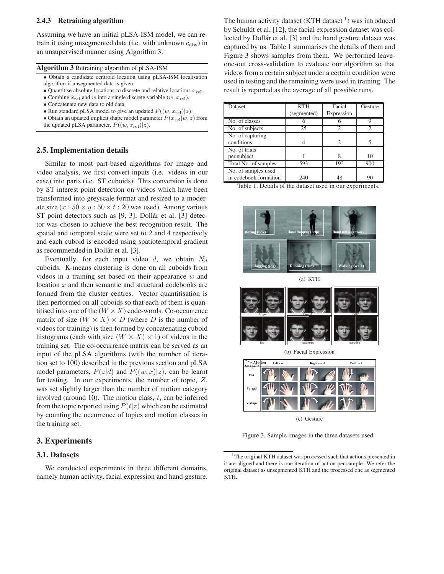#### **2.4.3 Retraining algorithm**

Assuming we have an initial pLSA-ISM model, we can retrain it using unsegmented data (i.e. with unknown *c*abs) in an unsupervised manner using Algorithm 3.

|  | Algorithm 3 Retraining algorithm of pLSA-ISM |  |
|--|----------------------------------------------|--|
|--|----------------------------------------------|--|

- *•* Obtain a candidate centroid location using pLSA-ISM localisation algorithm if unsegmented data is given.
- Quantitise absolute locations to discrete and relative locations  $x_{rel}$ .
- Combine  $x_{rel}$  and  $w$  into a single discrete variable  $(w, x_{rel})$ .
- *•* Concatenate new data to old data.
- Run standard pLSA model to give an updated  $P((w, x_{\text{rel}})|z)$ .
- Obtain an updated implicit shape model parameter  $P(x_{\text{rel}}|w, z)$  from the updated pLSA parameter,  $P((w, x_{rel})|z)$ .

### **2.5. Implementation details**

Similar to most part-based algorithms for image and video analysis, we first convert inputs (i.e. videos in our case) into parts (i.e. ST cuboids). This conversion is done by ST interest point detection on videos which have been transformed into greyscale format and resized to a moderate size  $(x: 50 \times y: 50 \times t: 20$  was used). Among various ST point detectors such as [9, 3], Dollár et al. [3] detector was chosen to achieve the best recognition result. The spatial and temporal scale were set to 2 and 4 respectively and each cuboid is encoded using spatiotemporal gradient as recommended in Dollár et al. [3].

Eventually, for each input video *d*, we obtain *N<sup>d</sup>* cuboids. K-means clustering is done on all cuboids from videos in a training set based on their appearance *w* and location *x* and then semantic and structural codebooks are formed from the cluster centres. Vector quantitisation is then performed on all cuboids so that each of them is quantitised into one of the  $(W \times X)$  code-words. Co-occurrence matrix of size  $(W \times X) \times D$  (where *D* is the number of videos for training) is then formed by concatenating cuboid histograms (each with size  $(W \times X) \times 1$ ) of videos in the training set. The co-occurrence matrix can be served as an input of the pLSA algorithms (with the number of iteration set to 100) described in the previous section and pLSA model parameters,  $P(z|d)$  and  $P((w, x)|z)$ , can be learnt for testing. In our experiments, the number of topic, *Z*, was set slightly larger than the number of motion category involved (around 10). The motion class, *t*, can be inferred from the topic reported using  $P(t|z)$  which can be estimated by counting the occurrence of topics and motion classes in the training set.

# **3. Experiments**

### **3.1. Datasets**

We conducted experiments in three different domains, namely human activity, facial expression and hand gesture.

The human activity dataset  $(KTH$  dataset  $\frac{1}{k}$  was introduced by Schuldt et al. [12], the facial expression dataset was collected by Dollár et al. [3] and the hand gesture dataset was captured by us. Table 1 summarises the details of them and Figure 3 shows samples from them. We performed leaveone-out cross-validation to evaluate our algorithm so that videos from a certain subject under a certain condition were used in testing and the remaining were used in training. The result is reported as the average of all possible runs.

| Dataset               | <b>KTH</b>  | Facial     | Gesture |
|-----------------------|-------------|------------|---------|
|                       | (segmented) | Expression |         |
| No. of classes        |             |            | Q       |
| No. of subjects       | 25          | 2          | 2       |
| No. of capturing      |             |            |         |
| conditions            |             | 2          | 5       |
| No. of trials         |             |            |         |
| per subject           |             |            | 10      |
| Total No. of samples  | 593         | 192        | 900     |
| No. of samples used   |             |            |         |
| in codebook formation | 240         | 48         | 90      |

Table 1. Details of the dataset used in our experiments.



(a) KTH



(b) Facial Expression



(c) Gesture

Figure 3. Sample images in the three datasets used.

<sup>&</sup>lt;sup>1</sup>The original KTH dataset was processed such that actions presented in it are aligned and there is one iteration of action per sample. We refer the original dataset as unsegmented KTH and the processed one as segmented KTH.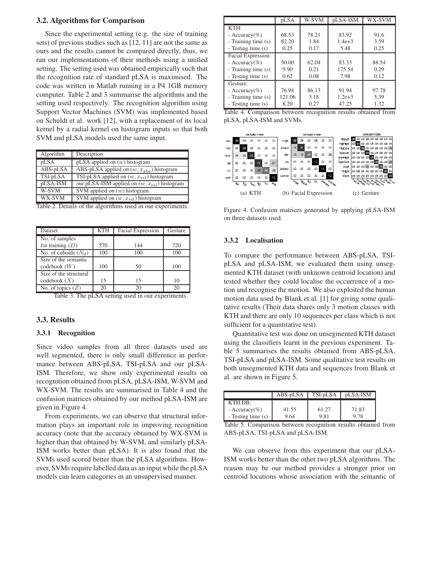#### **3.2. Algorithms for Comparison**

Since the experimental setting (e.g. the size of training sets) of previous studies such as [12, 11] are not the same as ours and the results cannot be compared directly, thus, we ran our implementations of their methods using a unified setting. The setting used was obtained empirically such that the recognition rate of standard pLSA is maximised. The code was written in Matlab running in a P4 1GB memory computer. Table 2 and 3 summarise the algorithms and the setting used respectively. The recognition algorithm using Support Vector Machines (SVM) was implemented based on Schuldt et al. work [12], with a replacement of its local kernel by a radial kernel on histogram inputs so that both SVM and pLSA models used the same input.

| Algorithm           | Description                                         |
|---------------------|-----------------------------------------------------|
| pLSA                | pLSA applied on $(w)$ histogram                     |
| ABS-pLSA            | ABS-pLSA applied on $(w, x_{\text{abs}})$ histogram |
| TSI-pLSA            | TSI-pLSA applied on $(w, x_{rel})$ histogram        |
| pLSA-ISM            | our pLSA-ISM applied on $(w, x_{rel})$ histogram    |
| $\overline{W}$ -SVM | SVM applied on $(w)$ histogram                      |
| WX-SVM              | SVM applied on $(w, x_{rel})$ histogram             |
|                     | TL1.1.0, Det1.1.0                                   |

|  |  | Table 2. Details of the algorithms used in our experiments. |
|--|--|-------------------------------------------------------------|
|  |  |                                                             |

| Dataset                | <b>KTH</b> | <b>Facial Expression</b> | Gesture |
|------------------------|------------|--------------------------|---------|
| No. of samples         |            |                          |         |
| for training $(D)$     | 570        | 144                      | 720     |
| No. of cuboids $(N_d)$ | 100        | 100                      | 100     |
| Size of the semantic   |            |                          |         |
| codebook(W)            | 100        | 50                       | 100     |
| Size of the structural |            |                          |         |
| codebook(X)            | 15         | 15                       | 10      |
| No. of topics $(Z)$    | 20         |                          | 20      |

Table 3. The pLSA setting used in our experiments.

### **3.3. Results**

#### **3.3.1 Recognition**

Since video samples from all three datasets used are well segmented, there is only small difference in performance between ABS-pLSA, TSI-pLSA and our pLSA-ISM. Therefore, we show only experimental results on recognition obtained from pLSA, pLSA-ISM, W-SVM and WX-SVM. The results are summarised in Table 4 and the confusion matrices obtained by our method pLSA-ISM are given in Figure 4.

From experiments, we can observe that structural information plays an important role in improving recognition accuracy (note that the accuracy obtained by WX-SVM is higher than that obtained by W-SVM, and similarly pLSA-ISM works better than pLSA). It is also found that the SVMs used scored better than the pLSA algorithms. However, SVMs require labelled data as an input while the pLSA models can learn categories in an unsupervised manner.

|                     | pLSA   | W-SVM | pLSA-ISM   | WX-SVM |
|---------------------|--------|-------|------------|--------|
| KTH:                |        |       |            |        |
| - Accuracy(%)       | 68.53  | 78.21 | 83.92      | 91.6   |
| - Training time (s) | 82.20  | 1.84  | $1.4e + 3$ | 3.59   |
| - Testing time (s)  | 0.25   | 0.17  | 5.48       | 0.25   |
| Facial Expression:  |        |       |            |        |
| - Accuracy $(\%)$   | 50.00  | 62.04 | 83.33      | 88.54  |
| - Training time (s) | 9.90   | 0.21  | 175.54     | 0.29   |
| - Testing time (s)  | 0.62   | 0.08  | 7.98       | 0.12   |
| Gesture:            |        |       |            |        |
| - Accuracy(%)       | 76.94  | 86.13 | 91.94      | 97.78  |
| - Training time (s) | 121.06 | 3.18  | $1.2e + 3$ | 5.39   |
| - Testing time (s)  | 8.20   | 0.27  | 47.25      | 1.32   |

Table 4. Comparison between recognition results obtained from pLSA, pLSA-ISM and SVMs.



Figure 4. Confusion matrices generated by applying pLSA-ISM on three datasets used.

#### **3.3.2 Localisation**

To compare the performance between ABS-pLSA, TSIpLSA and pLSA-ISM, we evaluated them using unsegmented KTH dataset (with unknown centroid location) and tested whether they could localise the occurrence of a motion and recognise the motion. We also exploited the human motion data used by Blank et al. [1] for giving some qualitative results (Their data shares only 3 motion classes with KTH and there are only 10 sequences per class which is not sufficient for a quantitative test).

Quantitative test was done on unsegmented KTH dataset using the classifiers learnt in the previous experiment. Table 5 summarises the results obtained from ABS-pLSA, TSI-pLSA and pLSA-ISM. Some qualitative test results on both unsegmented KTH data and sequences from Blank et al. are shown in Figure 5.

|                    | $\rm{ABS\text{-}pLSA}$ | TSI-pLSA | pLSA-ISM |
|--------------------|------------------------|----------|----------|
| $KTH$ DR $\cdot$   |                        |          |          |
| - Accuracy(%)      | 41.55                  | 61.27    | 71.83    |
| - Testing time (s) | 9.64                   | 9.81     | 9.78     |

Table 5. Comparison between recognition results obtained from ABS-pLSA, TSI-pLSA and pLSA-ISM.

We can observe from this experiment that our pLSA-ISM works better than the other two pLSA algorithms. The reason may be our method provides a stronger prior on centroid locations whose association with the semantic of